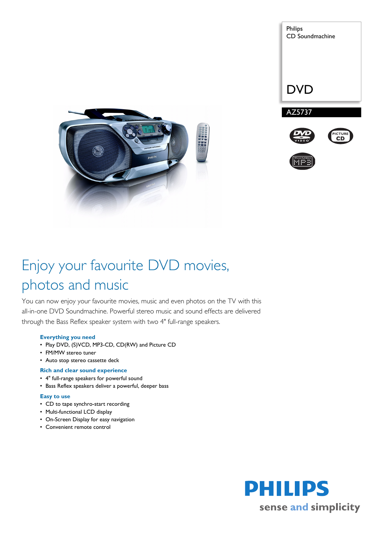



# Enjoy your favourite DVD movies, photos and music

You can now enjoy your favourite movies, music and even photos on the TV with this all-in-one DVD Soundmachine. Powerful stereo music and sound effects are delivered through the Bass Reflex speaker system with two 4" full-range speakers.

# **Everything you need**

- Play DVD, (S)VCD, MP3-CD, CD(RW) and Picture CD
- FM/MW stereo tuner
- Auto stop stereo cassette deck

# **Rich and clear sound experience**

- 4" full-range speakers for powerful sound
- Bass Reflex speakers deliver a powerful, deeper bass

# **Easy to use**

- CD to tape synchro-start recording
- Multi-functional LCD display
- On-Screen Display for easy navigation
- Convenient remote control